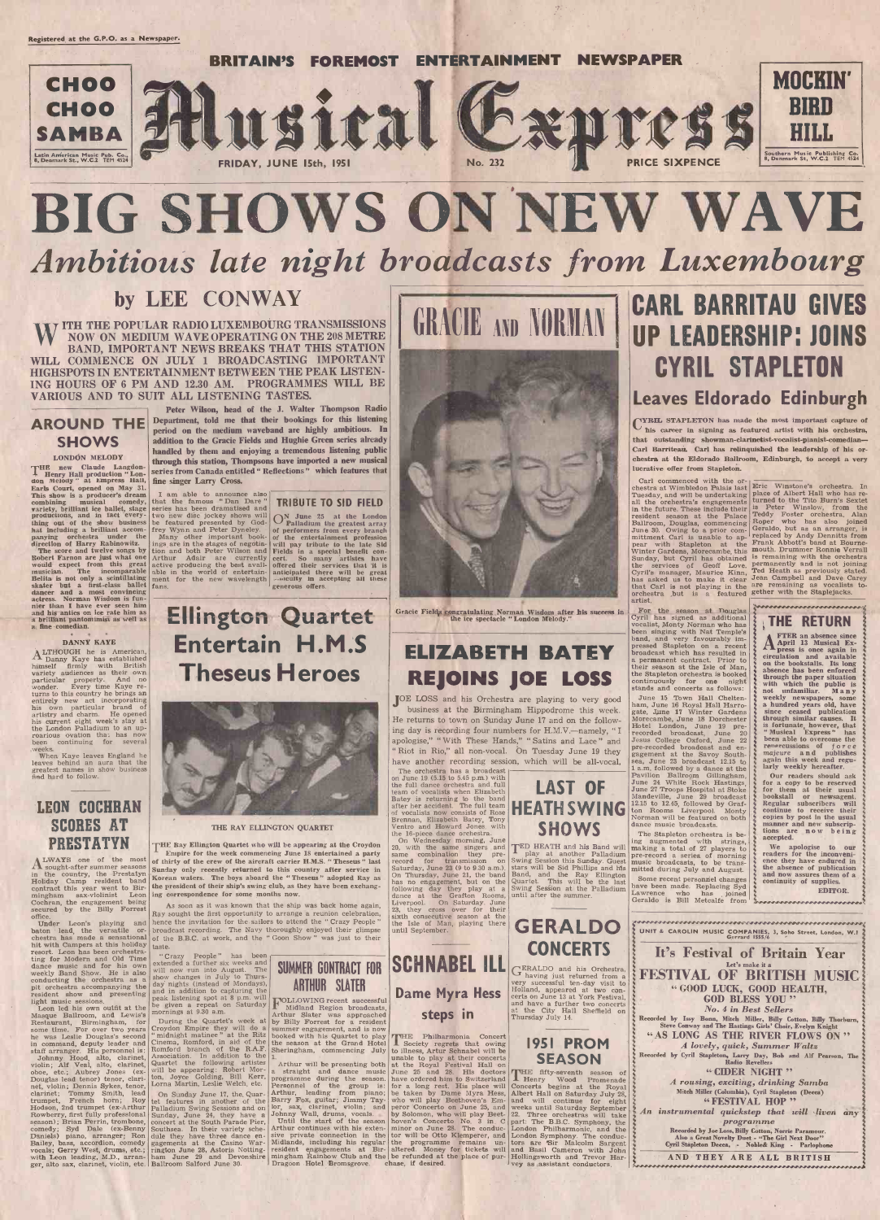

# BIG SHOWS ON NEW WAVE Ambitious late night broadcasts from Luxembourg

WITH THE POPULAR RADIO LUXEMBOURG TRANSMISSIONS NOW ON MEDIUM WAVE OPERATING ON THE 208 METRE BAND, IMPORTANT NEWS BREAKS THAT THIS STATION WILL COMMENCE ON JULY 1 BROADCASTING IMPORTANT HIGHSPOTS IN ENTERTAINMENT BETWEEN THE PEAK LISTEN-ING HOURS OF 6 PM AND 12.30 AM. PROGRAMMES WILL BE VARIOUS AND TO SUIT ALL LISTENING TASTES.

### AROUND THE **SHOWS**

LONDON MELODY<br>THE new Claude Langdon-THE new Cause Languardian " Lon-<br>
don Melody " at Empress Hall,<br>
Earls Court, opened on May 31.<br>
This show is a producer's dream thing out of the show business be feat<br>hat including a brilliant accom- frey W<sub>3</sub><br>panying orchestra under the Many direction of Harry Rabinowitz. Ings are interest on the Score and twelve songs by Robert Farnon are just what one would expect from this great active proposed in musician. The incomparable Belita is not only a scintillating skater but a first-class ballet dancer and a most convincing fans. actress. Norman Wisdom is funnier than I have ever seen him<br>and his antics on ice rate him as a brilliant pantomimist as well as a fine comedian.

## by LEE CONWAY

### LEON COCHRAN SCORES AT PRESTATYN.

 $\left| \begin{array}{cc} \text{LWAYS} & \text{one} & \text{of} & \text{the} & \text{most} \\ \text{sought-after summer seasons} & \text{sundaw} \end{array} \right|$ in the country, the Prestatyn Holiday Camp resident band contract this year went to Bir-<br>mingham sax-violinist Leon ing corres<br>Cochran, the engagement being  $A_8$  sort secured by the Billy Forrest office.

Under Leon's playing and baton lead, the versatile or-<br>chestra has made a sensational hit with Campers at this holiday resort. Leon has been orchestra-<br>ting for Modern and Old Time dance music and for his own weekly Band Show. He is also conducting the orchestra as a show changes in July to Thurs-<br>pit orchestra accompanying the day nights (instead of Mondays),<br>resident show and presenting and in addition to capturing the<br>resident show and presenting pole resident show and presenting<br>light music sessions.

Leon led his own outfit at the Masque Ballroom, and Lewis's Masque Bally Hilly Forrest for a resident<br>
Some time. For over two years Croydon Empire they will do a summer engagement, and is now he was Leslie Douglas's second "midnight matinee" at the Ritz<br>in command, deputy leader and Cinema, Romford, in aid of the in command, deputy leader and<br>staff arranger. His personnel is:

staff arranger. His personnel is:<br>Johnny Hood, alto, clarinet, violin; Alf Veal, alto, clarinet, oboe, etc.; Aubrey Jones (ex-<br>Douglas lead tenor) tenor, clarinet, violin; Dennis Sykes, tenor, clarinet; Tommy Smith, lead trumpet, French horn; Roy Hottlies in another of the Hodson, 2nd trumpet (ex-Arthur Palladium Swing Sessions and on<br>Rowberry, first fully professional Sunday, June 24, they have a<br>season); Brian Perrin, trombone, concert a Daniels) piano, arranger; Ron Bailey, bass, accordion, comedy vocals; Gerry West, drums, etc.; rington June 28, Astoria Notting-resident with Leon leading, M.D., arran- ham June 29 and Devonshire minghanger, alto sax, clarinet, violin, etc. Ballroom Salford June 30.



#### \* \* <sup>4</sup> DANNY KAYE

ALTHOUGH he is American, Danny Kaye has established himself firmly with British variety audiences as their own particular property. And no<br>wonder. Every time Kaye re-<br>turns to this country he brings an entirely new act incorporating his own particular brand of<br>artistry and charm. He opened his current eight week's stay at the London Palladium to an up-<br>roarious ovation that has now<br>been continuing for several continuing for weeks.

When Kaye leaves England he leaves behind an aura that the greatest names in show business find hard to follow.

be featured presented by God- Pralladium the greatest array frey Wynn and Peter Dyneley. frey Wynn and Peter Dyneley.<br>
Many other important book-<br>
of the entertainment profession<br>
ings are in the stages of negotia-<br>
will pay tribute to the late Sid<br>
Fields in a special benefit con-<br>
Fields in a special benefit ings are in the stages of negotia- will pay tribute to the late Sid Arthur Adair are currently eert. So many artistes have<br>active producing the best avail-<br>offered their services that it is<br>able in the world of entertain-<br>anticipated there will be great able in the world of entertain-<br>ment for the new wavelength anticipated there will be great ON June 25 at the London Palladium the greatest array generous offers.



Gracie Fields congratulating Norman Wisdom after his success in  $\begin{bmatrix} \text{For} & \text{tl} \\ \text{Cyril} & \text{ha} \end{bmatrix}$ 

On Sunday June 17, the. Quartet features in another of the Palladium Swing Sessions and on Sunday, June 24, they have a concert at the South Parade Pier, gagements at the Casino War-

Sheringham, commencing July to illness, Artur Schnabel will be unable to play at their concerts Arthur will be presenting both at the Royal Festival Hall on a straight and dance music June 2<br>programme during the season. have or<br>Personnel of the group is: for a l Arthur, leading from piano; be taken<br>Barry Fox, guitar; Jimmy Tay-<br>lor, sax, clarinet, violin; and peror Co Johnny Wall, drums, vocals. by Solomon, who will play Beet- 22. Three or Until the start of the season hoven's Concerto No. 3 in. C part: The B.E. Arthur continues with his exten- minor on June 28. The conduc- London Phill sive private connection in the tor will b<br>Midlands, including his regular the prog mingham Rainbow Club and the

# ELIZABETH BATEY been singing with Nat Temple's band, and very favourably im-<br>pressed Stapleton on a recent broadcast which has resulted in<br>a permanent contract. Prior to<br>their season at the Isle of Man, REJOINS JOE LOSS

JOE LOSS and his Orchestra are playing to very good June 15 Town Hall Cheltenbusiness at the Birmingham Hippodrome this week. and ham, June 16 Royal Hall Harrobusiness at the Birmingham Hippodrome this week. and such that the Gardens returns to town on Sunday June 17 and on the follow-<br>Preturns to town on Sunday June 17 and on the follow- Morecambe, June 18 Dorchester He returns to town on Sunday June 17 and on the following day is recording four numbers for H.M.V.-namely, "I apologise," " With These Hands," " Satins and Lace " and Jesus College Oxford, June 22 Riot in Rio," all non-vocal. On Tuesday June 19 they have another recording session, which will be all-vocal,  $\begin{bmatrix} \text{sea} \\ \text{1 a.m. followed by a dance at the} \end{bmatrix}$ <br>The orchestra has a broadcast The orchestra has a broadcast

Peter Wilson, head of the J. Walter Thompson Radio Department, told me that their bookings for this listening period on the medium waveband are highly ambitious. In addition to the Gracie Fields and Hughie Green series already handled by them and enjoying a tremendous listening public through this station, Thompsons have imported a new musical series from Canada entitled " Reflections " which features that fine singer Larry Cross.

combining musical comedy, that the famous "Dan Dare" variety, brilliant ice ballet, stage series has been dramatised and productions, and in fact every-<br>two new disc jockey shows will I am able to announce also that the famous "Dan Dare" | TRIBU tion and both Peter Wilson and **Fields** in Arthur Adair are currently cert. So

> on June 19 (5.15 to 5.45 p.m.) with the full dance orchestra and full  $\begin{bmatrix} 1 & 1 \\ 1 & 1 \end{bmatrix}$ team of vocalists when Elizabeth Batey is returning to the band  $\left| \begin{array}{c} \text{Batey} \\ \text{After her accident.} \end{array} \right|$  is  $\left| \begin{array}{c} \text{The full team} \\ \text{Borel} \end{array} \right|$ of vocalists now consists of Rose Brennan, Elizabeth Batey, Tony Ventro and Howard Jones, with

the 16-piece dance orchestra.<br>
20, with the same singers and<br>
same combination they pre-<br>  $\begin{bmatrix} \text{F}^{\text{E}} \text{D} \text{ H}^{\text{E}} \text{A} \text{B} \text{A} \text{B} \text{B} \text{C} \end{bmatrix}$ has no engagement, but on the following day they play at a dance at the Grafton Rooms, Liverpool. On Saturday, June 23, they cross over for their sixth consecutive season at the the Isle of Man, playing there until September.

### TRIBUTE TO SID FIELD



record for transmission on Swing Session this Sunday. Guest Saturday, June 23 (9 to 9.30 a.m.). Stars will be Sid Phillips and his until after the summer.

TED HEATH and his Band will Swing Session this Sunday. Guest music broadcast stars will be Sid Phillips and Ms Band, and the Ray Ellington Quartet. This will be the last Some recent power Swing Session at the Palladium have been made

**CONCERTS** 

**Dame Myra Hess** Folland, appeared at two consteps in at the City Hall Sheffield on GERALDO and his Orchestra, having just returned from a very successful ten-day visit to certs on June 13 at York Festival, and have a further two concerts at the City Hall<br>Thursday July 14.

Entertain H.M.S

Theseus Heroes

#### THE RAY ELLINGTON QUARTET

THE Ray Ellington Quartet who will be appearing at the Croydon Empire for the week commencing June 18 entertained a party of thirty of the crew of the aircraft carrier H.M.S. " Theseus " last Sunday only recently returned to this country after service in Saturday, June 23 (9 to 9.30 a.m.).<br>Korean waters The boys aboard the "Thesens" adopted Ray as  $\overline{2}$  On Thursday, June 21, the band Korean waters. The boys aboard the " Theseus " adopted Ray as the president of their ship's swing club, as they have been exchanging correspondence for some months now.

## GRACIE AND NURHAN I TIP I FANFR CARL BARRITAU GIVES UP LEADERSHIP: JOINS CYRIL STAPLETON Leaves Eldorado Edinburgh

CYRIL STAPLETON has made the most important capture of  $\cup$  his career in signing as featured artist with his orchestra, that outstanding showman-clarinetist-vocalist-pianist-comedian-Carl Barriteau. Carl has relinquished the leadership of his orchestra at the Eldorado Ballroom, Edinburgh, to accept a very lucrative offer from Stapleton.

Carl commenced with the orchestra at Wimbledon Palais last Eric Winstone's orchestra. In Tuesday, and will be undertaking  $\begin{array}{c} \text{place of } A \\ \text{all the order of } B \text{ is } \text{model} \end{array}$ in the future. These include their <sup>is</sup> Peter<br>resident season at the Palace Teddy F<br>Ballroom, Douglas, commencing Roper June 30. Owing to a prior com-<br>mittment Carl is unable to ap-<br>pear with Stapleton at the Frank A Winter Gardens, Morecambe, this **mouth.** Dr<br>Sunday, but Cyril has obtained is remaini<br>the services of Geoff Love. permanent Cyril's manager, Maurice Kinn, Ted Hotas asked us to make it clear Jean C that Carl is not playing in the are remainded that the orchestra .but is a featured gether with artist.

As soon as it was known that the ship was back home again, Ray sought the first opportunity to arrange a reunion celebration, hence the invitation for the sailors to attend the " Crazy People " broadcast recording. The Navy thoroughly enjoyed their glimpse of the B.B.C. at work, and the " Goon Show " was just to their taste.

" Crazy People" has been extended a further six weeks and will now run into August. The show changes in July to Thurs-

During the Quartet's week at by Billy Croydon Empire they will do a summer " midnight matinee" at the Ritz booked v<br>Cinema, Romford, in aid of the the sease Association. In addition to the  $\frac{1}{1}$ . Quartet the following artistes Tarth<br>will be appearing: Robert Mor-<br>ton, Joyce Golding, Bill Kerr, progra<br>Lorna Martin, Leslie Welch, etc. Person

**OF** June 24 White Rock Hastings,<br>June 27 Troops Hospital at Stoke HEATH SWING ton Rooms Liverpool. Monty 1 a.m. followed by a dance at the Pavilion Ballroom Gillingham,  $\frac{3}{2}$  Ou June 24 White Rock Hastings,  $\frac{3}{2}$  for June 27 Troops Hospital at Stoke Paville, June 29 broadcast  $\frac{3}{2}$  brooks 12.15 to 12.45, followed ton Rooms Liverpool. Monty Solution Norman will be featured on both Solutions dance music broadcasts. The Stapleton orchestra is be-

ing augmented with strings, making a total of 27 players to pre-record a series of morning<br>music broadcasts, to be trans-<br>mitted during July and August.<br>Some recent personnel changes

pre-recorded at the Savoy South-<br>sea, June 23 broadcast 12.15 to

Some recent personnel changes have been made. Replacing Syd Lawrence who has joined Changes and Changes and Changes and Changes and Changes and Changes and Changes and Changes and Changes and Changes and Changes and Change

place of Albert Hall who has re-turned to the Tito Burn's Sextet is Peter Winslow, from the Teddy Foster orchestra. Alan Roper who has also joined Geraldo, but as an arranger, is replaced by Andy Dennitts from Frank Abbott's band at Bourne-Winter Gardens, Morecambe, this mouth. Drummer Ronnie Verrall is remaining with the orchestra permanently and is not joining Ted Heath as previously stated. Jean Campbell and Dave Carey are remaining as vocalists to-<br>gether with the Staplejacks.

For the season at Douglas Cyril has signed as additional vocalist, Monty Norman who has been singing with Nat Temple's band, and very favourably im- pressed Stapleton on a recent  $\left\{\begin{array}{c}\right.\left.\right.$  Appli 13 Musical Expres a permanent contract. Prior to the Stapleton orchestra is booked  $\left\{\right\}$  absence has been enforced continuously for one night stands and concerts as follows: June 15 Town Hall Cheltenham, June 16 Royal Hall Harro-<br>
gate, June 17 Winter Gardens Morecambe, June 18 Dorchester Hotel London, June 19 pre-<br>
Hotel London, June 19 pre-<br>
recorded broadcast, June 20 4 Mu NNowwwwwwwwsnosnowwwww.Aninninnov THE RETURN FTER an absence since **A** April 13 Musical Ex-<br>press is once again in<br>circulation and available

Jesus College Oxford, June 22 } been a on the bookstalls. Its long absence has been enforced with which the public is<br>not unfamiliar. Many<br>weekly newspapers, some a hundred years old, have<br>since ceased publication through similar causes. is fortunate, however, that  $\frac{3}{2}$ " Musical Express" has  $\zeta$ been able to overcome the renercussions of  $\int$  or  $ce$  majeure and publishes majeure **and publishes }**<br>again this week and regu- }<br>larly weekly hereafter.

Our readers should ask<br>for a copy to be reserved

for them at their usual<br>bookstall or newsagent. bookstall or newsagent.<br>
Regular subscribers will<br>
continue to receive their copies by post in the usual manner and new subscriptions are now being accepted.



be given a repeat on Saturday MoLLOWING recent successful<br>mornings at 9.30 a.m. <br>Arthur Slater was approached FOLLOWING recent successful Midland Region broadcasts, Arthur Slater was approached by Billy Forrest for a resident summer engagement, and is now booked with his Quartet to play **THE** Philh the season at the Grand Hotel Sheringham, commencing July to illness, Artur Schnabel will be

E Philharmonia Concert Society regrets that owing 1951 PROM

Midlands, including his regular the programme remains un-<br>resident engagements at Bir- altered. Money for tickets will and Basil Cameron with John June 25 and 28. His doctors THE flip have ordered him to Switzerland THE Henry For a long rest. His place will Concerts begins at the Royal Arthur, leading from piano; be taken by Dame Myra Hess, Albert Hall on Saturday July 28, Barry Fox, guitar; Jimmy Tay-<br>long who will play Beethoven's Em- and wil sive private connection in the tor will be Otto Klemperer, and London Symphony. The conduc-Midlands, including his regular the programme remains un-<br>resident engagements at Bir-<br>altered. Money for tickets will and Basil Cameron with John<br>mingham Rainbow Club and the be refunded at the place of pur-<br>Dragoon Hotel THE fifty-seventh season of  $\left| \right\rangle$ Henry Wood Promenade and will continue for eight weeks until Saturday September 22. Three orchestras will take  $\frac{2}{3}$  An II part: The B.B.C. Symphony, the  $\left\{\n \begin{array}{c}\n 2 \\
 2\n \end{array}\n \right\}$  London Symphony. The conduc-

# SHOWS



We apologise to our readers for the inconvenience they have endured in<br>the absence of publication and now assures them of a continuity of supplies. EDITOR.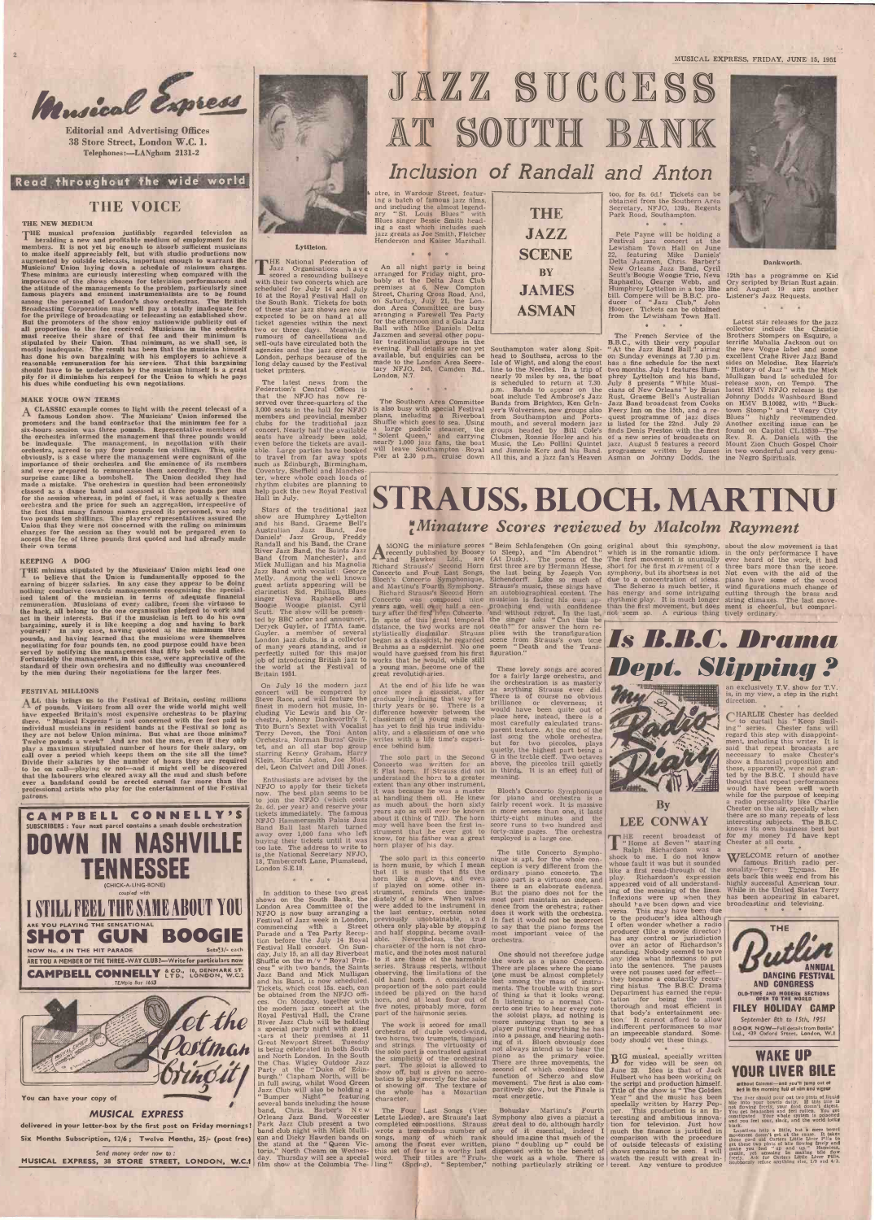<sup>2</sup> MUSICAL EXPRESS, FRIDAY, JUNE 15, 1951

Editorial and Advertising Offices 38 Store Street, London W.C. 1. Telephones:-LANgham 2131-2



Read throughout the wide world

### THE VOICE

#### THE NEW MEDIUM

THE musical profession justifiably regarded television as heralding a new and profitable medium of employment for its members. It is not yet big enough to absorb sufficient musicians nembers. It is not yet big enough to absorb sufficient musicians<br>to make itself appreciably felt, but with studio productions now<br>augmented by outside telecasts, important enough to warrant the augmented by outside telecasts, important enough to warrant the Musicians' Union laying down a schedule of minimum charges. These minima are curiously interesting when compared with the score importance of the shows chosen the attitude of the managements to the problem, particularly since famous players and eminent instrumentalists are to be found among the personnel of London's show orchestras. The British Broadcasting Corporation may well pay a totally inadequate fee of these for the privilege of broadcasting or telecasting an established show. expected But the promoters of the show enjoy nationwide publicity out of ticket all proportion to the fee received. Musicians in the orchestra two or must receive their share of that fee and their minimum is rumours of stipulated by their Union. That minimum, as we shall see, is sell-outs have mostly inadequate. The result has been that the musician himself agencies has done his own bargaining with his employers to achieve a London, reasonable remuneration for his services. That this bargaining long dela should have to be undertaken by the musician himself is a great itcket printers.<br>pity for it diminishes his respect for the Union to which he pays his dues while conducting his own negotiations.

to believe that the Union is fundamentally opposed to the earning of bigger salaries. In any case they appear to be doing<br>nothing conducive towards managements recognising the special-<br>ised talent of the musician in terms of adequate financial<br>singer remuneration. Musicians of every calibre, from the virtuoso to the hack, all belong to the one organisation pledged to work and Scutt. The act in their interests. But if the musician is left to do his own ted by BI bargaining, surely it is like keeping a dog and having to bark<br>yourself? In any case, having quoted as the minimum three percek Guyler.<br>pounds, and having learned that the musicians were themselves Guyler.<br>negotiating for negotiating for four pounds ten, no good purpose could have been served by notifying the management that fifty bob would suffice.<br>Fortunately the management, in this case, were appreciative of the standard of their own orc by the men during their negotiations for the larger fees.

### MAKE YOUR OWN TERMS

 $\Delta$  CLASSIC example comes to light with the recent telecast of a | 3,000 set CLASSIC example comes to light with the recent telecast of a  $\begin{array}{c|c} 3,000 \text{ seats} & \text{in the hall for NFJO}\end{array}$  famous London show. The Musicians' Union informed the members and provincial member noters and the band contractor that t promoters and the band contractor that the minimum fee for a clubs for six-hours session was three pounds. Representative members of concert. the orchestra informed the management that three pounds would<br>be inadequate. The management, in negotiation with their even before the tickets are avail-<br> be inadequate. The management, in negotiation with their even orchestra, agreed to pay four pounds ten shillings. This, quite able. Let us a case where the management were cognisant of the to trave importance of their orchestra and the eminence of its members such as and were prepared to remunerate them accordingly. Then the Coventr surprise came like a bombshell. The Union decided they had ter, where made a mistake. The orchestra in question had been erroneously rhythm or classed as a dance band and assessed at three pounds per man help pack for the session whereas, in point of fact, it was actually a theatre orchestra and the price for such an aggregation, irrespective of the fact that many famous names graced its personnel, was only two pounds ten shillings. The players' representatives assured the Union that they were not concerned with the ruling on minimum charges for the session as they would not be prepared even to Australian accept the fee of three pounds first quoted and had already made  $\sum_{n=1}^{\infty}$ their own terms

ever a bandstand could be erected earned far more than the professional artists who play for the entertainment of the Festival patrons.

Send money order now to : MUSICAL EXPRESS, 38 STORE STREET, LONDON, W.C.1 day. Thursday will see a special word.

### KEEPING A DOG

KEEPING A DOG **Sand (from Manchester)**, and **THE minima stipulated by the Musicians' Union might lead one Mick Mulligan and his Magnolia <b>THE minima stipulated by the Musicians' Union might lead one** Jazz Band with vocalis Stars of the traditional jazz show are Humphrey Lyttelton and his Band, Graeme Bell's Australian Jazz Band, Joe Daniels' Jazz Group, Freddy<br>Randall and his Band, the Crane River Jazz Band, the Saints Jazz<br>Band (from Manchester), and Mick Mulligan and his Magnolia Richard St Jazz Band with vocalist: George Concerto<br>Melly. Among the well known Bloch's (<br>guest artists appearing will be and Mart clarinetist Sid. Phillips, Blues singer Neva Raphaello and Boogie Woogie pianist, Cyril year<br>Scutt. The show will be presented by BBC actor and announcer,<br>Deryck Guyler, of ITMA fame.<br>Guyler. a member of several<br>London jazz clubs, is a collector job of introducing British jazz to the world at the Festival of Britain 1951.

On July 16 the modern jazz<br>concert will be compered by once more<br>Steve Race, and will feature the gradually i finest in modern hot music, in-<br>cluding Vic Lewis and his Or-<br>chestra, Johnny Dankworth's 7, classic<br>Tito Burn's Sextet with Vocalist has ye Terry Devon, the Toni Anton ality, and Crehestra, Norman Burns' Quintet, and an all star bop group ence behin starring Kenny Graham, Harry The sol<br>Klein, Martin Aston, Joe Mud-<br>del, Leon Calvert and Dill Jones. Concerto

# JAZZ SUCCESS AT SOUTH BANK

### FESTIVAL MILLIONS

ALL this brings us to the Festival of Britain, costing millions steed and will feature the of pounds. Visitors from all over the wide world might well finest in modern hot music, in-<br>have expected Britain's most expensive  $\Lambda$  of pounds. Visitors from all over the wide world might well finest in have expected Britain's most expensive orchestras to be playing cluding there. "Musical Express" is not concerned with the fees paid to chestra, individual musicians in resident bands at the Festival so long as they are not below Union minima. But what are those minima? Twelve pounds a week? And are not the men, even if they only play a maximum stipulated number of hours for their salary, on call over a period which keeps them on the site all the time? Divide their salaries by the number of hours they are required to be on call-playing or not-and it might well be discovered<br>that the labourers who cleared away all the mud and slush before



Enthusiasts are advised by the understand the horn to a greater meaning NFJO to apply for their tickets extent than any other instrument, now. The best plan seems to be it was because he was a master  $\overline{B}$ join the NFJO (which costs at handling them all. He knew<br>6d. per year) and reserve your as much about the horn sixty<br>kets immediately. The famous years ago as will ever be known tickets immediately. The famous vears ag<br>NFJO Hammersmith Palais Jazz about it Band Ball last March turned may well b away over 1,000 fans who left strument that he even<br>buying their tickets until it was know, for his faither was<br>been player of his day. too late. The address to write to

18, Timbercroft Lane, Plumstead, London S.E.18.

Parade and a Tea Party Reception before the July 14 Royal Festival Hall concert. On Sundeas, with two bands, the Saints series. Strauss respects, without Jazz Band and Mick Mulligan observing, the limitations of the and his Band, is now scheduled. Tickets, which cost 15s. each, can be obtained from the NFJO offi- ces. On Monday, together with the modern jazz concert at the Royal Festival Hall, the Crane River Jazz Club will be holding a special party night with guest  $\left| \begin{array}{cc} 1 & \text{if} & \text{with} \\ \text{or} & \text{the} & \text{with} \\ \text{or} & \text{the} & \text{the} \\ \text{or} & \text{the} & \text{the} \\ \end{array} \right|$  orchestra of duple wood-wind, -tars at their premises at <sup>11</sup> Great Newport Street. Tuesday and strings. is being celebrated in both South  $\begin{array}{c} \text{and} \\ \text{the} \text{sol} \text{on} \end{array}$ the Chas. Wigley Outdoor Jazz Party at the " Duke of Edin-burgh," Clapham North, will be in full swing, whilst Wood Green<br>Jazz Club will also be holding a the who<br>"Bumper Night" featuring tharacter several bands including the house<br>band, Chris. Barber's N e w The Four<br>Orleans Jazz Band. Worcester Letzte Liede gan and Dicky Hawden bands on

atre, in Wardour Street, featur-<br>ing a batch of famous jazz films, ing a batch of famous jazz films, and including the almost legendary " St. Louis Blues " with Blues singer Bessie Smith heading a cast which includes such  $\vert$   $\blacksquare$   $\blacksquare$ jazz greats as Joe Smith, Fletcher Henderson and Kaiser Marshall.



p.m. Bands to appear on the boat include Ted Ambrose's Jazz Bands from Brighton, Ken Grin- Jazz Ban<br>yer's Wolverines, new groups also Feery In

### Lyttleton.

THE National Federation of<br>
Jazz Organisations have Jazz Organisations have<br>scored a resounding bullseye scored a resounding bullseye arranged with their two concerts which are bably scheduled for July 14 and July premises 16 at the Royal Festival Hall on Street, Chinese South Bank. Tickets for both  $\frac{5}{1}$  Saturd of these star jazz shows are now expected to be on hand at all arran ticket agencies within the next for the at<br>two or three days. Meanwhile, Ball with<br>rumours of cancellations and Jazzmen sell-outs have circulated both the<br>agencies and the jazz circles in London, perhaps because of the long delay caused by the Festival

too, for 8s. 6d.! Tickets can be obtained from the Southern Area Secretary, NFJO, 139a, Regents Park Road, Southampton. \* \*

JAZZ Pete Payne will be holding a  $SCENE$   $\sum_{\substack{22, \text{featuring Mike} \\ \text{Delta zzumen. Chris. Barber's}}}$ **BY** New Orleans Jazz Band, Cyril South's Boogle Woodle Trio News ASMAN Hooper. Tickets can be obtained<br>from the Lewisham Town Hall. Lewisham Town Hall on June 22, featuring Mike Daniels'<br>Delta Jazzmen, Chris. Barber's<br>New Orleans Jazz Band, Cyril<br>Scutt's Boogie Woogie Trio, Neva<br>Raphaello, Gearge Webb, and<br>Humphrey Lyttelton in a top line \* \* \*

> B.B.C., with their very popular terrific M<br>" At the Jazz Band Ball" airing the new on Sunday evenings at 7.30 p.m. excel<br>has a fine schedule for the next sides two months. July 1 features Hum- "Hist phrey Lyttelton and his band, Mulli<br>July 8 presents " White Musi- release cians of New Orleans" by Brian latest HM<br>Rust, Graeme Bell's Australian Johnny D Jazz Band broadcast from Cooks on HN



The latest news from the Federation's Central Offices is that the NFJO has now re-<br>served over three-quarters of the The Southern<br>3,000 seats in the hall for NFJO is also busy wi<br>members and provincial member plans, includi<br>clubs for the traditional jazz Shuffle which<br>concert. able. Large parties have booked will leavel from far away spots Pier at : such as Edinburgh, Birmingham,<br>Coventry, Sheffield and Manches-<br>ter, where whole coach loads of rhythm clubites are planning to help pack the new Royal Festival Hall in July.

yer's Wolverines, new groups also Feery Inn on the 15th, and a re- town Stomp " and "Weary City<br>from Southampton and Ports- quest programme of jazz discs Blues " highly recommended.<br>mouth, and several modern jazz is listed groups headed by Bill Cole's finds Denis Preston with the first found on Capitol CL.13530—The<br>Clubmen, Ronnie Horler and his of a new series of broadcasts on Rev. R. A. Daniels with the<br>Music, the Leo Pollini Quintet jazz. collector include the Christie<br>The French Service of the Brothers Stompers on Esquire, a Latest star releases for the jazz terrific Mahalia Jackson out on the new Vogue label and some excellent Crahe River Jazz Band sides on Melodisc. Rex Harris's " History of Jazz " with the Mick Mulligan band is scheduled for release soon, on Tempo. The latest HMV NFJO release is the Johnny Dodds Washboard Band on HMV B.10082, with " Buck - Another exciting issue can be

five notes, probably more, form part of the harmonic series. The work is scored for small more annoying than to see a<br>cohestra of duple wood wind player putting everything he has two horns, two trumpets, timpani into a passage, and hearing noth-<br>and strings. The virtuosity of ing of it. Bloch obviously does<br>the solo part is contrasted against not always intend us to hear the the solo part is contrasted against not alway.<br>the simplicity of the orchestral piano as<br>part. The soloist is allowed to There are show off, but is given no accro-<br>batics to play merely for the sake function<br>for showing off. The texture of movemer<br>the whole has a Mozartian most ene<br>character.

Park Jazz Club present a two completed compositions. Strauss great deal to do, although hardly band club night with Mick Mulli-<br>wrote a tremendous number of any of it essential, indeed I the stand at the "Queen Vic-<br>toria," North Cheam on Wednes-<br>day. Thursday will see a special word. Their titles are " Fruh- the wo-<br>film show at the Columbia The- ling" (Spring), " September," nothing

NFJO is now busy arranging a the last century, certain notes does it work with the orchestra. Versity and Infact it would not be incorrect to the commencing with a Street others only playable by stopping to say that the pi The title Concerto Sympho-<br>The solo part in this concerto nique is apt, for the whole con-The solo part in this concerto nique is apt, for the whole con-<br>is horn music, by which I mean ception is very different from the whose fit<br>that it is music that fits the ordinary piano concerto. The like a 1 horn like a glove, and even piano part is a virtuoso one, and play. R<br>if played on some other in-<br>there is an elaborate cadenza. were added to the instrument in dence from the orchestra; rather there is an elaborate cadenza. appeared<br>But the piano does not for the most part maintain an indepen-<br>dence from the orchestra; rather should t<br>does it work with the orchestra. versa.

of many years standing, and is Brahms as a modernist. No one perfectly suited for this major would have guessed from his first job of introducing British jazz to works that he would, while still Richard Strauss's Second Horn an autobiographical content. The has ener<br>Concerto was composed nine musician is facing his own ap- rhythmic<br>years ago, well over half a cen-proaching end with confidence than the<br>tury after t In spite of this great temporal the sends that is distance, the two works are not death stylistically dissimilar. Strauss plies began as a classicist; he regarded a young man, become one of the great revolutionaries. figuration."

At the end of his life he was  $\frac{\text{the} \ \text{or}}{\text{the} \ \text{or}}$ <br>once more a classicist, after  $\frac{\text{as} \ \text{any}}{\text{the} \ \text{or}}$ gradually inclining that way for There thirty years or so. There is a brilliance<br>difference however between the would he classicism of a young man who place her has yet to find his true individu-<br>ality, and a classicism of one who parent te<br>writes with a life time's experi- last sone<br>ence behind him.<br>writes with the content

The solo part in the Second G in the t Concerto was written for an above, the Flat horn. If Strauss did not in thirds

Concerto and Four Last Songs, the last being by Joseph Von symphonique, Eichendorff. Like so much of due to and Martinu's Fourth Symphony. Strauss's music, these sings have The Second Strauss's Second Horn an autobiographi "Beim Schlafengehen (On going original<br>to Sleep), and "Im Abendrot" which is<br>(At Dusk). The poems of the The first first three are by Hermann Hesse, short for it the last being by Joseph Von symphony, and without regret. In the last, not seem<br>the singer asks " Can this be<br>death?" for answer the horn re-<br>plies with the transfiguration

> These lovely songs are scored for a fairly large orchestra, and the orchestration is as masterly as anything Strauss ever did. There is of course no obvious There is of course no obvious<br>brilliance or cleverness; it<br>would have been quite out of<br>place here, instead, there is a<br>most carefully calculated trans-<br>parent texture. At the end of the last song the whole orchestra, but for two piccolos, plays quietly, the highest part being a G in the treble cleff. Two octaves

above, the piccolos trill quietly in thirds. It is an effect full of Bloch's Concerto Symphonique fairly recent work. It is massive in more senses than one, it lasts

original about this symphony, about the which is in the romantic idiom. in the or<br>The first movement is unusually ever hear<br>short for the first m *i* vement of a three ban The Scherzo is much better, it wind figurations much chance of has energy and some intriguing cutting through the brass and rhythmic play. It is much longer string climaxes. The last movethan the first movement, but does ment is cheerful, but compari-<br>not seem so. A curious thing tively ordinary.

short for the first m wement of a three bars more than the score.<br>symphony, but its shortness is not Not even with the aid of the<br>due to a concentration of ideas. piano have some of the wood<br>The Scherzo is much better, it about the slow movement is that in the only performance I have ever heard of the work, it had

the stand at the " Queen Vic-

Enthusiasts are advised by the understand the horn to a greater meaning.

at handling them all. He knew for piano and orchestra is a as much about the horn sixty fairly recent work. It is massive years ago as will ever be known in more senses than one, it lasts<br>about it (think of Till). The horn thirty-eight minutes and the<br>may well have been the first in-score runs to two hundred and<br>strument that he ever got to f know, for his father was a great employed is a large one.<br>horn player of his day. may well have been the first in- score runs to two hundred and strument that he ever got to forty-nine pages. The orchestra

In addition to these two great strument, reminds one imme- But the shows on the South Bank, the diately of a horn. When valves most point London Area Committee of the were added to the instrument in dence the last century, certain notes does it w<br>previously unobtainable, and In fact if others only playable by stopping to say that the piano forms the I often v<br>and half stopping, became avail- most important voice of the producer<br>able. Nevertheless, the true orchestra. character of the horn is not chromatic, and the notes most natural One should not therefore judge to it are those of the harmonic the work as a piano Concerto. observing, the limitations of the old hand horn. A considerable proportion of the solo part could ments. The trouble with this sort

## Inclusion of Randall and Anton

shock to me. I do not know whose fault it was but it sounded **VV** famous British radic<br>like a first read-through of the sonality—Terry Thomas. like a first read-through of the<br>play. Richardson's expression Richardson's expression appeared void of all understand-<br>ing of the meaning of the lines. should have been down and vice broadcasting and televising.<br>versa. This may have been due

One should not therefore judge standing. Nobody seemed to have to the producer's idea although I often wonder whether a radio<br>producer (like a movie director) has any control or jurisdiction over an actor of Richardson's any idea what inflexions to put<br>into the sentences. The pauses were not pauses used for effectthey became a constantly recurring hiatus. The B.B.C. Drama Department has earned the reputation for being the thorough and most efficient in that body's entertainment section: It cannot afford to allow an impeccable standard. Some-

\*

An all night party is being arranged for Friday night, pro-<br>bably at the Delta Jazz Club premises at 6, New Compton<br>Street, Charing Cross Road. And.<br>on Saturday, July 21, the Lon-<br>don Area Committee are busy<br>arranging a Farewell Tea Party for the afternoon and a Gala Jazz Ball with Mike Daniels Delta Jazzmen and several other popular traditionalist groups in the evening. Full details are not yet available, but enquiries can be made to the London Area Secretary NFJO, 245, Camden Rd., London, N.7.

The Southern Area Committee<br>is also busy with special Festival is also busy with special Festival yer's Wolv<br>plans, including a Riverboat from Sou<br>Shuffle which goes to sea. Using mouth, an<br>a large paddle steamer, the groups he<br>"Solent Queen," and carrying Clubmen, mearly 1,000 jazz fans, the boat Music, the Leo Pollini Quintet jazz. August 5 features a record Mount Zion Chuch Gospel Choir<br>will leave Southampton Royal and Jimmie Kerr and his Band. programme written by James in two wo

indeed be played on the hand of thing is that it looks wrong<br>horn, and at least four out of In listening to a normal Con-<br>fun notes are<br>holive to a normal conthe work as a piano Concerto. any idea<br>There are places where the piano into the<br>tone must be almost completely were not lost among the mass of instruof thing is that it looks wrong. certo one tries to hear every note the soloist plays, ad nothing is  $\begin{bmatrix} \text{that} & \text{body's} \\ \text{tion} & \text{It} \end{bmatrix}$  cannot afford to allow player putting everything he has indifferent performances to mar into a passage, and hearing nothbody should vet these things..

not always intend us to hear the piano as the primary voice. There are three movements, the second of which combines the June 23. Idea<br>function of Scherzo and slow Hulbert who has<br>movement. The first is also com-<br>paritively slow, but the Finale is Title of the show<br>most energetic. Year " and the

**BIG** musical, specially written for video will be seen on June 23. Idea is that of Jack **YOUR** the script and production himself.<br>Title of the show is " The Golden sea in the Year " and the music has been The liver sho specially written by Harry Pepper. This production is an interesting and ambitious innovation for television. Just how

comparison with the procedure some comparison with the procedure of outside telecasts of existing set these you tell watch the result with great in-<br>watch the result with great in-<br>terest. Any venture to produce subborally

ing of the meaning of the lines. While in the United States Terry Inflexions were up when they has been appearing in cabaret, WELCOME return of another famous British radio pergets back this week end from his highly successful American tour.



Southampton water along Spit- "At the head to Southsea, across to the on Sund Isle of Wight, and along the coast has a<br>line to the Needles. In a trip of two m<br>nearly 70 miles by sea, the boat phrey<br>is scheduled to return at 7.30. July

> LEE CONWAY interesting subjects. The B.B.C. CHARLIE Chester has decided to curtail his "Keep Smil-ing" series. Chester fans will regard this step with disappoint-<br>ment, including this writer. It is<br>said that repeat broacasts are neccessary to make Chester's show a financial proposition and these, apparently, were not granted by the B.B.C. I should have thought that repeat performances would have been well worth while f<mark>or the purpose of keeping</mark><br>a radio personality like Charlie Chester on the air, specially when there are so many repeats of less interesting subjects. The B.B.C.

#### Dankworth.

12th has a programme on Kid Ory scripted by Brian Rust again, and August <sup>19</sup> airs another Listener's Jazz Requests.

## STRAUSS, BLOCH, MARTINU :Minature Scores reviewed by Malcolm Rayment

A MONG the miniature scores "Beim Sc<br>recently published by Boosey to Sleep)<br>and Hawkes Ltd., are (At Dusk<br>Richard Strauss's' Second Horn first three Concerto and Four Last Songs, the last being by Joseph Von Bloch's Concerto Symphonique, Eichendorff. Like so much of







an exclusively T.V. show for T.V. is, in my view, a step in the right direction.

# By

THE recent broadcast of for my money I'd have kept<br>
"Home at Seven" starring Chester at all costs.<br>
Ralph Richardson was a





without Calemal—and you'll jump out of the morning full of vim and vigour

The liver should pour out two pints of liquid<br>bile into your bowels daily. If this bile is<br>not flowing freely, your food doesn't digest.<br>You get headaches and feel rotten. You get<br>constipated Your whole system is poisoned

someoned sour, slack, and the world tooks<br>hack.<br>Laxatives help a little, but à mere bowel<br>movement dossn't get at the cause. It takes<br>those good old Carters Little Liver Pills to<br>get these two pints of ble flowing freely a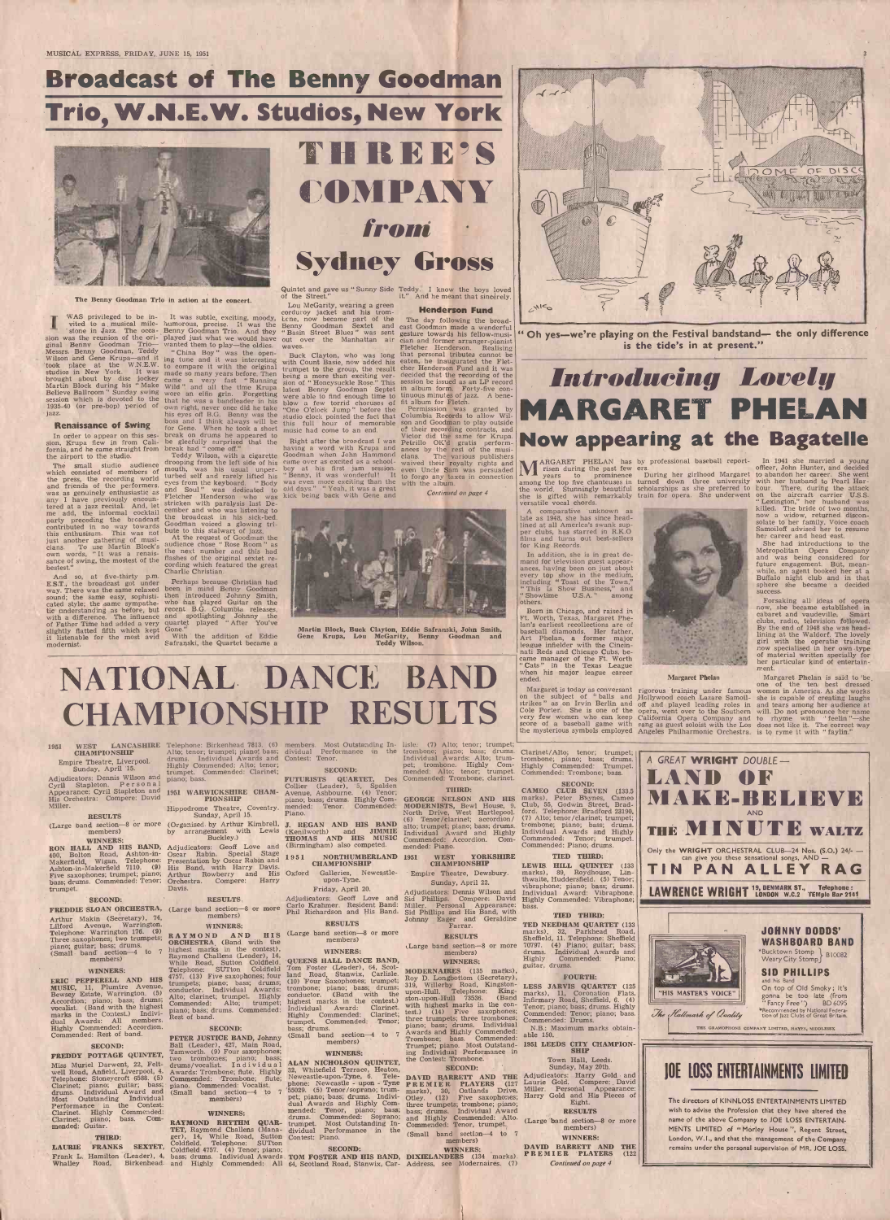# THREE'S COMPANY from Second Sydney Gross

# Broadcast of The Benny Goodman Trio, W.N.E.W. Studios, New York

Quintet and gave us "Sunny Side Teddy. I know the boys loved of the Street." it." And he meant that sincerely.



The Benny Goodman Trio in action at the concert.

In order to appear on this ses- break on drums he appeared to<br>sion, Krupa flew in from Cali- be gleefully surprised that the Right af<br>fornia, and he came straight from break had "come off." having a<br>the airport to the stud

which consisted of members of mouth, was his usual unper-<br>the press, the recording world turbed self and rarely lifted his<br>and friends of the performers, eyes from the keyboard. "Body the press, the recording world eyes from the keyboard. "Body was even<br>and friends of the performers, and Soul" was dedicated to old days."<br>Fletcher Henderson who was kick being any I have previously encoun-<br>was dedicated to old days." I yean, it was a great<br>any I have previously encoun-<br>fletcher Henderson who was kick being back with Gene and<br>tered at a jazz recital. And, let stricken with paraly ered at a jazz recital. And, let<br>me add, the informal cocktail<br>party preceding the broadcast me add, the middle broadcast the broadcast in his sick-bed.<br>
Foother and the broadcast coodman voiced a glowing tri-<br>
contributed in no way towards bute to this stalwart of jazz this enthusiasm. This was not bute to this stalwart of jazz,<br>just another gathering of musi-<br>cians. To use Martin Block's audience chose "Rose Room" as<br>own words, "It was a renais-<br>the next number and this had own words, " sans. To use Martin Block's<br>cwn words, "It was a renais-<br>sance of swing, the mostest of the<br>bestest."

And so, at five-thirty p.m. Charlie Christian.<br>E.S.T., the broadcast got under Perhaps because Christian had slightly flatted fifth which kept Gone<br>it listenable for the most avid Wit it listenable for the most avid With the addition of Eddie General Contract Safranski, the Quartet became a

WAS privileged to be in- It was subtle, exciting, moody, corne, now vited to a musical mile- humorous, precise. It was the Benny Goodman Trio. And they "Basin S sion was the reunion of the ori- played just what we would have out over the Manhattan air<br>ginal Benny Goodman Trio— wanted them to play—the oldies. waves.<br>Messrs. Benny Goodman, Teddy "China Boy" was the open-<br>Wilson and took place at the W.N.E.W. to compare it with the original with course to<br>studios in New York. It was made so many years before. Then being a not<br>apply about by disc jockey came a very fast "Running sion of "I<br>Martin Bloc

The small studio audience drooping from the left side of his mouth, was his usual unper-<br>turbed self and rarely lifted his cember and who was listening to<br>the broadcast in his sick-bed.

bestest." cording which featured the great
cording which featured the great
cording charlie Christian.

E.S.T., the broadcast got under Perhaps because Christian had<br>way. There was the same relaxed been in mind Benny Goodman sound; the same easy, sophisti- then introduced Johnny Smith, rated style; the same sympathe- who has played Guitar on the tic understanding as before, but recent B.G. Columbia releases,<br>with a difference. The influence and spotlighting Johnny the<br>of Father Time had added a very quartet played "After You've

Lou McGarity, wearing a green<br>corduroy jacket and his trom-**Henderson Fund**<br>corduroy became part of the The day following the broad-It was subtle, exciting, moody, *Lene, now became part of the aumorous*, precise. It was the Benny Goodman Sextet and " Basin Street Blues " was sent

trumpet to the group, the result cher H<br>being a more than exciting ver- decided<br>sion of " Honeysuckle Rose." This session latest Benny Goodman Septet in album<br>blow a few torrid choruses of fit album<br>"One O'clock Jump " before the Permiss<br>studio clock pointed the fact that Columbia this full hour of memorable son and<br>music had come to an end.

Right after the broadcast I was Petrillo C<br>having a word with Krupa and ances by<br>Goodman when John Hammond clans. came over as excited as a schoolboy at his first jam session. even Uncle Sam was persuaded **WE** ris was even more exciting than the old days." " Yeah, it was a great continue back being back being back being back of  $\alpha$  on  $\alpha$  on  $\alpha$  on  $\alpha$  on  $\alpha$  on  $\alpha$  on  $\alpha$  on  $\alpha$  on  $\alpha$  on  $\alpha$  on  $\alpha$  on  $\alpha$  on  $\alpha$  on



Martin Block, Buck Clayton, Eddie Safranski, John Smith, Gene Krupa, Lou McGarity, Benny Goodman and McGarity, Benedy Wilson.



jazz.<br>
his eyes off B.G. Benny was the boss and I think always will be this full hour of memorable son and Goodman to play outside<br> **Renaissance of Swing** for Gene. When he took a short music had come to an end.<br>
In order Permisssion was granted by Columbia Records to allow Wilson and Goodman to play outside of their recording contracts, and Victor did the same for Krupa. Petrillo OK'd gratis perform- ances by the rest of the musi- cians. The various publishers waived their royalty rights and NA

> to forgo any taxes in connection  $\begin{bmatrix} 1 \\ 1 \end{bmatrix}$  with the album. Continued on page 4 the world.

CHAMPIONSHIP RESULTS

" Oh yes-we're playing on the Festival bandstand- the only difference is the tide's in at present."

In addition, she is in great de-<br>mand for television guest appear-<br>ances, having been on just about<br>every top show in the medium,<br>including " Toast of the Town," " This Is Show Business," and " Showtime U.S.A." among others.

very few women who can keep California Opera Company and to rhysterious symbols employed Angeles Philharmonic Orchestra. is to r the mysterious symbols employed Angeles Philharmonic Orchestra. is to r

**LV** years to prominence During her girlhood Margaret to aband among the top five chanteuses in turned down three university with her

scholarships as she preferred to bour. Th train for opera. She underwent

MARGARET PHELAN has by professional baseball report- In risen during the past few ers.<br>Prisen during the past few ers.<br>Prisens to prominence During her girlhood Margaret to aband In 1941 she married a young officer, John Hunter, and decided

to abandon her career. She went with her husband to Pearl Harbour. There, during the attack on the aircraft carrier U.S.S. " Lexington," her husband was killed. The bride of two months, now a widow, returned disconnow a widow, returned disconsolate to her family. Voice coach Samoiloff advised her to resume



| <b>WEST</b><br>1951                                                                   | LANCASHIRE Telephone: Birkenhead 7813. (6) members. Most Outstanding In- lisle: (7) Alto; tenor; trumpet;       |                                                                                              |                                                                                         |                                                                                            |                                                                 |
|---------------------------------------------------------------------------------------|-----------------------------------------------------------------------------------------------------------------|----------------------------------------------------------------------------------------------|-----------------------------------------------------------------------------------------|--------------------------------------------------------------------------------------------|-----------------------------------------------------------------|
| <b>CHAMPIONSHIP</b>                                                                   |                                                                                                                 | Alto; tenor; trumpet; piano; bass; dividual Performance in the trombone; piano; bass; drums. |                                                                                         | Clarinet/Alto; tenor; trumpet;                                                             |                                                                 |
| Empire Theatre, Liverpool.                                                            | drums. Individual Awards and Contest: Tenor.                                                                    |                                                                                              | Individual Awards: Alto; trum-                                                          | trombone; piano; bass; drums.                                                              | A GREAT WRIGHT DOUBLE -                                         |
| Sunday, April 15.                                                                     | Highly Commended: Alto; tenor;                                                                                  |                                                                                              |                                                                                         | pet; trombone. Highly Com- Highly Commended: Trumpet.                                      |                                                                 |
|                                                                                       | trumpet. Commended: Clarinet;                                                                                   | <b>SECOND:</b>                                                                               | mended: Alto; tenor; trumpet. Commended: Trombone; bass.                                |                                                                                            |                                                                 |
| Adjudicators: Dennis Wilson and                                                       | piano; bass.                                                                                                    | FUTURISTS QUARTET, Des Commended: Trombone; clarinet.                                        |                                                                                         |                                                                                            | LAND OF                                                         |
| Cyril Stapleton. Personal                                                             |                                                                                                                 | Collier (Leader), 5, Spalden                                                                 | <b>THIRD:</b>                                                                           | <b>SECOND:</b>                                                                             |                                                                 |
| Appearance: Cyril Stapleton and                                                       | 1951 WARWICKSHIRE CHAM- Avenue, Ashbourne. (4) Tenor;                                                           |                                                                                              |                                                                                         | CAMEO CLUB SEVEN (133.5                                                                    | MAKE-BELIEVE                                                    |
| His Orchestra: Compere: David                                                         | <b>PIONSHIP</b>                                                                                                 |                                                                                              | piano; bass; drums. Highly Com- GEORGE NELSON AND HIS                                   | marks), Peter Baynes, Cameo                                                                |                                                                 |
| Miller.                                                                               |                                                                                                                 | Hippodrome Theatre, Coventry. mended: Tenor. Commended: MODERNISTS, Bewl House, 9,           |                                                                                         | Club, 55, Godwin Street, Brad-                                                             |                                                                 |
| <b>RESULTS</b>                                                                        | Sunday, April 15.                                                                                               | Piano.                                                                                       | North Drive, West Hartlepool.                                                           | ford. Telephone: Bradford 23190.                                                           |                                                                 |
|                                                                                       |                                                                                                                 |                                                                                              | (6) Tenor/clarinet; accordion/                                                          | (7) Alto; tenor/clarinet; trumpet;                                                         |                                                                 |
|                                                                                       | (Large band section-8 or more (Organised by Arthur Kimbrell, J. REGAN AND HIS BAND                              |                                                                                              | alto: trumpet; piano; bass; drums.                                                      | trombone; piano; bass; drums.                                                              | THE MINUTE WALTZ                                                |
| members)                                                                              | Buckley.)                                                                                                       | by arrangement with Lewis (Kenilworth) and JIMMIE                                            | Individual Award and Highly                                                             | Individual Awards and Highly                                                               |                                                                 |
| <b>WINNERS:</b>                                                                       |                                                                                                                 | (Birmingham) also competed.                                                                  | THOMAS AND HIS MUSIC Commended: Accordion. Com-                                         | Commended: Tenor; trumpet.<br>Commended: Piano; drums.                                     |                                                                 |
|                                                                                       | RON HALL AND HIS BAND, Adjudicators: Geoff Love and                                                             |                                                                                              | mended: Piano.                                                                          |                                                                                            | Only the WRIGHT ORCHESTRAL CLUB-24 Nos. (S.O.) 24/- -           |
|                                                                                       | 400, Bolton Road, Ashton-in- Oscar Rabin. Special Stage                                                         | 1951<br>NORTHUMBERLAND 1951                                                                  | WEST YORKSHIRE                                                                          | TIED THIRD:                                                                                | can give you these sensational songs, $AND$ -                   |
|                                                                                       | Makerfield, Wigan. Telephone: Presentation by Oscar Rabin and                                                   | <b>CHAMPIONSHIP</b>                                                                          | <b>CHAMPIONSHIP</b>                                                                     | LEWIS HILL QUINTET (133                                                                    |                                                                 |
|                                                                                       | Ashton-in-Makerfield 7110. (9) His Band, with Harry Davis.                                                      |                                                                                              |                                                                                         | marks), 89. Roydhouse, Lin-                                                                | TIN<br>P<br>AN ALLEY RAG                                        |
|                                                                                       | Five saxophones; trumpet; piano; Arthur Rowberry and His Oxford Galleries, Newcastle-                           |                                                                                              | Empire Theatre, Dewsbury.                                                               | thwaite, Huddersfield. (5) Tenor;                                                          |                                                                 |
|                                                                                       | bass; drums. Commended: Tenor; Orchestra. Compere: Harry                                                        | upon-Tyne.                                                                                   | Sunday, April 22.                                                                       | vibraphone; piano; bass; drums.                                                            |                                                                 |
| trumpet.                                                                              | Davis.                                                                                                          | Friday, April 20.                                                                            | Adjudicators: Dennis Wilson and                                                         | Individual Award: Vibraphone                                                               | LAWRENCE WRIGHT 19, DENMARK ST., Telephone :                    |
| <b>SECOND:</b>                                                                        | <b>RESULTS,</b>                                                                                                 |                                                                                              | Adjudicators: Geoff Love and Sid Phillips. Compere: David Highly Commended: Vibraphone; |                                                                                            |                                                                 |
|                                                                                       |                                                                                                                 |                                                                                              | Carlo Krahmer. Resident Band: Miller. Personal Appearance: bass.                        |                                                                                            |                                                                 |
|                                                                                       | FREDDIE SLOAN ORCHESTRA, (Large band section-8 or more                                                          |                                                                                              | Phil Richardson and His Band. Sid Phillips and His Band, with                           |                                                                                            |                                                                 |
| Arthur Makin (Secretary), 74,                                                         | members)                                                                                                        |                                                                                              | Johnny Eager and Geraldine                                                              | <b>TIED THIRD:</b>                                                                         |                                                                 |
| Lilford Avenue, Warrington.                                                           | <b>WINNERS:</b>                                                                                                 | <b>RESULTS</b>                                                                               | Farrar.                                                                                 | TED NEEDHAM QUARTET (133                                                                   |                                                                 |
| Telephone: Warrington 176. (9)                                                        |                                                                                                                 | RAYMOND AND HIS (Large band section-8 or more                                                |                                                                                         | marks), 32, Parkhead Road,                                                                 | <b>JOHNNY DODDS'</b>                                            |
| Three saxophones; two trumpets;                                                       | <b>ORCHESTRA</b> (Band with the                                                                                 | members)                                                                                     | <b>RESULTS</b>                                                                          | Sheffield, 11. Telephone: Sheffield                                                        | <b>WASHBOARD BAND</b>                                           |
| piano; guitar; bass; drums.                                                           | highest marks in the contest),                                                                                  |                                                                                              | (Large band section-8 or more                                                           | 70797. (4) Piano; guitar; bass;                                                            |                                                                 |
| (Small band section-4 to                                                              | Raymond Challens (Leader), 14,                                                                                  | <b>WINNERS:</b>                                                                              | members)                                                                                | drums. Individual Awards and                                                               | *Bucktown Stomp   B10082                                        |
| members)                                                                              | While Road, Sutton Coldfield.                                                                                   | QUEENS HALL DANCE BAND,                                                                      | <b>WINNERS:</b>                                                                         | Highly Commended: Piano;                                                                   | Weary City Stomp∫                                               |
| <b>WINNERS:</b>                                                                       | Telephone: SUTton Coldfield                                                                                     | Tom Foster (Leader), 64, Scot-                                                               | MODERNAIRES (135 marks),                                                                | guitar, drums.                                                                             |                                                                 |
|                                                                                       | 4757. (13) Five saxophones; four                                                                                | land Road, Stanwix, Carlisle.                                                                | Roy D. Longbottom (Secretary),                                                          | <b>FOURTH:</b>                                                                             | <b>SID PHILLIPS</b>                                             |
| ERIC PEPPERELL AND HIS                                                                | trumpets; piano; bass; drums;                                                                                   | (10) Four Saxophones; trumpet;                                                               | 319, Willerby Road, Kingston-                                                           |                                                                                            | and his Band                                                    |
| MUSIC, 11, Plumtre Avenue,                                                            | conductor. Individual Awards:                                                                                   | trombone; piano; bass; drums;                                                                | upon-Hull. Telephone: King-                                                             | LESS JARVIS QUARTET (125                                                                   | On top of Old Smoky; It's                                       |
| Bewsey Estate, Warrington. (5)                                                        | Alto; clarinet; trumpet. Highly                                                                                 | conductor. (Band with the                                                                    | ston-upon-Hull 73536. (Band                                                             | marks), 11, Coronation Flats,                                                              | 'HIS MASTER'S VOICE'<br>gonna be too late (from                 |
| Accordion; piano; bass; drums;                                                        | Commended: Alto; trumpet;                                                                                       | highest marks in the contest.)                                                               | with highest marks in the con-                                                          | Infirmary Road, Sheffield, 6. (4)                                                          | "Fancy Free") BD 6095                                           |
| vocalist. (Band with the highest                                                      | piano; bass; drums. Commended:                                                                                  | Individual Award: Clarinet.                                                                  | test.) (14) Five saxophones;                                                            | Tenor; piano; bass; drums. Highly                                                          | Recommended by National Federa-                                 |
| marks in the Contest.) Indivi-                                                        | Rest of band.                                                                                                   | Highly Commended: Clarinet;                                                                  | three trumpets; three trombones;                                                        | Commended: Tenor; piano; bass.<br>Commended: Drums.                                        | The Hallmark of Quality<br>tion of Jazz Clubs of Great Britain. |
| dual Awards: All members.                                                             |                                                                                                                 | trumpet. Commended: Tenor;                                                                   | piano; bass; drums. Individual                                                          |                                                                                            |                                                                 |
| Highly Commended: Accordion.                                                          | <b>SECOND:</b>                                                                                                  | bass; drums.                                                                                 | Awards and Highly Commended:                                                            | N.B.: Maximum marks obtain-                                                                | THE GRAMOPHONE COMPANY LIMITED, HAYES, MIDDLESEX                |
| Commended: Rest of band.                                                              | PETER JUSTICE BAND, Johnny                                                                                      | (Small band section-4 to                                                                     | Trombone; bass. Commended:                                                              | able 150.                                                                                  |                                                                 |
| <b>SECOND:</b>                                                                        | Ball (Leader), 427, Main Road,                                                                                  | members)                                                                                     |                                                                                         | Trumpet; piano. Most Outstand- 1951 LEEDS CITY CHAMPION-                                   |                                                                 |
| FREDDY POTTAGE QUINTET,                                                               | Tamworth. (9) Four saxophones;                                                                                  | <b>WINNERS:</b>                                                                              | ing Individual Performance in                                                           | <b>SHIP</b>                                                                                |                                                                 |
|                                                                                       | two trombones; piano; bass;                                                                                     | ALAN NICHOLSON QUINTET,                                                                      | the Contest: Trombone.                                                                  | Town Hall, Leeds.                                                                          |                                                                 |
|                                                                                       | Miss Muriel Darwent, 22, Felt- drums/vocalist. Individual                                                       | 32. Whitefield Terrace, Heaton,                                                              | <b>SECOND:</b>                                                                          | Sunday, May 20th.                                                                          |                                                                 |
|                                                                                       | well Road, Anfield, Liverpool, 4. Awards: Trombone; flute. Highly                                               |                                                                                              |                                                                                         | Newcastle-upon-Tyne, 6. Tele- DAVID BARRETT AND THE Adjudicators: Harry Gold and           | <b>JOE LOSS ENTERTAINMENTS LIMITED</b>                          |
|                                                                                       | Telephone: Stoneycroft 6588. (5) Commended: Trombone; flute;                                                    |                                                                                              |                                                                                         | phone: Newcastle - upon - Tyne PREMIER PLAYERS (127 Laurie Gold. Compere: David            |                                                                 |
| Clarinet; piano; guitar; bass; piano. Commended: Vocalist.                            |                                                                                                                 |                                                                                              |                                                                                         | 55029. (5) Tenor/soprano; trum-marks), 30, Oatlands Drive, Miller. Personal Appearance:    |                                                                 |
| drums. Individual Award and (Small band section 4 to 7<br>Most Outstanding Individual |                                                                                                                 |                                                                                              |                                                                                         | pet; piano; bass; drums. Indivi- Otley. (12) Five saxophones; Harry Gold and His Pieces of |                                                                 |
|                                                                                       |                                                                                                                 |                                                                                              |                                                                                         |                                                                                            | The directors of KINNLOSS ENTERTAINMENTS LIMITED                |
|                                                                                       | members)                                                                                                        |                                                                                              |                                                                                         | Eight.                                                                                     |                                                                 |
| Performance in the Contest:                                                           |                                                                                                                 |                                                                                              | dual Awards and Highly Com- three trumpets; trombone; piano;                            |                                                                                            |                                                                 |
| Clarinet. Highly Commended:                                                           | <b>WINNERS:</b>                                                                                                 |                                                                                              | mended: Tenor, piano; bass; bass; drums. Individual Award                               | <b>RESULTS</b>                                                                             | wish to advise the Profession that they have altered the        |
| Clarinet; piano; bass. Com-                                                           |                                                                                                                 |                                                                                              | drums. Commended: Soprano; and Highly Commended: Alto.                                  | (Large band section-8 or more                                                              | name of the above Company to JOE LOSS ENTERTAIN-                |
| mended: Guitar.                                                                       |                                                                                                                 | RAYMOND RHYTHM QUAR- trumpet. Most Outstanding In- Commended: Tenor, trumpet,                |                                                                                         | members)                                                                                   |                                                                 |
| <b>THIRD:</b>                                                                         |                                                                                                                 | TET, Raymond Challens (Mana- dividual Performance in the                                     | (Small band section-4 to $7$                                                            | <b>WINNERS:</b>                                                                            | MENTS LIMITED of "Morley House", Regent Street,                 |
|                                                                                       | ger), 14, While Road, Sutton Contest: Piano.<br>Coldfield. Telephone: SUTton                                    |                                                                                              | members)                                                                                |                                                                                            | London, W.I., and that the management of the Company            |
| <b>FRANKS</b><br><b>SEXTET,</b><br><b>LAURIE</b>                                      | Coldfield 4757. (4) Tenor; piano;                                                                               | <b>SECOND:</b>                                                                               | <b>WINNERS:</b>                                                                         | DAVID BARRETT AND THE                                                                      | remains under the personal supervision of MR. JOE LOSS.         |
|                                                                                       | Frank L. Hamilton (Leader), 4, bass; drums. Individual Awards TOM FOSTER AND HIS BAND, DIXIELANDERS (134 marks) |                                                                                              |                                                                                         | PREMIER PLAYERS<br>(122)                                                                   |                                                                 |
| Whalley                                                                               | Road, Birkenhead and Highly Commended: All 64 Scotland Road Stanwix Car- Address, see Modernaires. (7)          |                                                                                              |                                                                                         | Continued on page 4                                                                        |                                                                 |

# Introducing Lovely MARGARET PHELAN Now appearing at the Bagatelle

the world. Stunningly beautiful she is gifted with remarkably versatile vocal chords.

A comparative unknown as late as 1948, she has since headlined at all America's swank sup-<br>per clubs, has starred in R.K.O films and turns out best-sellers for King Records.

NATIONAL DANCE BAND Born in Chicago, and raised in Ft. Worth, Texas, Margaret Phe-lan's earliest recollections are of baseball diamonds. Her father, Art Phelan, a former major league infielder with the Cincin- nati Reds and Chicago Cubs, be- came manager of the Ft. Worth came manager of the Ft. Worth<br>"Cats" in the Texas League

Margaret is today as conversant rigorous training under famous women in<br>on the subject of " balls and Hollywood coach Lazare Samoil- she is cap<br>strikes" as on Irvin Berlin and off and played leading roles in and tears<br>Cole

Margaret Phelan

her career and head east. She had introductions to the Metropolitan Opera Company<br>and was being considered for<br>future engagement. But, meanfuture engagement. But, mean- while, an agent booked her at a Buffalo night club and in that sphere she became <sup>a</sup> decided success.

Forsaking all ideas of opera now, she became established in cabaret and vaudeville. Smart clubs, radio, television followed. By the end of 1948 she was headlining at the Waldorf. The lovely girl with the operatic training now specialised in her own type of material written specially for her particular kind of entertain-ment.

opera, went over to the Southern will. Do n<br>California Opera Company and to rhyme Margaret Phelan is said to 'be, one of the ten best dressed<br>women in America. As she works<br>she is capable of creating laughs<br>and tears among her audience at<br>will. Do not pronounce her name to rhyme with "feelin"—she does not like it. The correct way<br>is to ryme it with "faylin."

### 1951 WEST LANCASHIRE Telephone: Birkenhead 7813. (6) members. Most Outstanding In-**CHAMPIONSHIP**